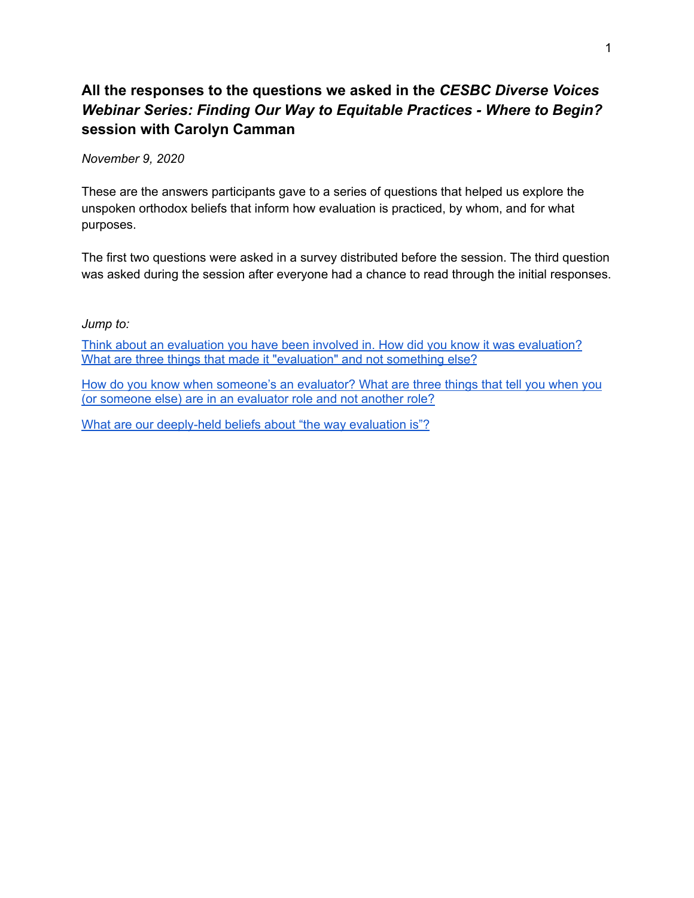## **All the responses to the questions we asked in the** *CESBC Diverse Voices Webinar Series: Finding Our Way to Equitable Practices - Where to Begin?* **session with Carolyn Camman**

*November 9, 2020*

These are the answers participants gave to a series of questions that helped us explore the unspoken orthodox beliefs that inform how evaluation is practiced, by whom, and for what purposes.

The first two questions were asked in a survey distributed before the session. The third question was asked during the session after everyone had a chance to read through the initial responses.

*Jump to:*

Think about an evaluation you have been involved in. How did you know it was [evaluation?](#page-0-0) What are three things that made it ["evaluation"](#page-0-0) and not something else?

How do you know when [someone's](#page-5-0) an evaluator? What are three things that tell you when you (or [someone](#page-5-0) else) are in an evaluator role and not another role?

<span id="page-0-0"></span>What are our [deeply-held](#page-9-0) beliefs about "the way evaluation is"?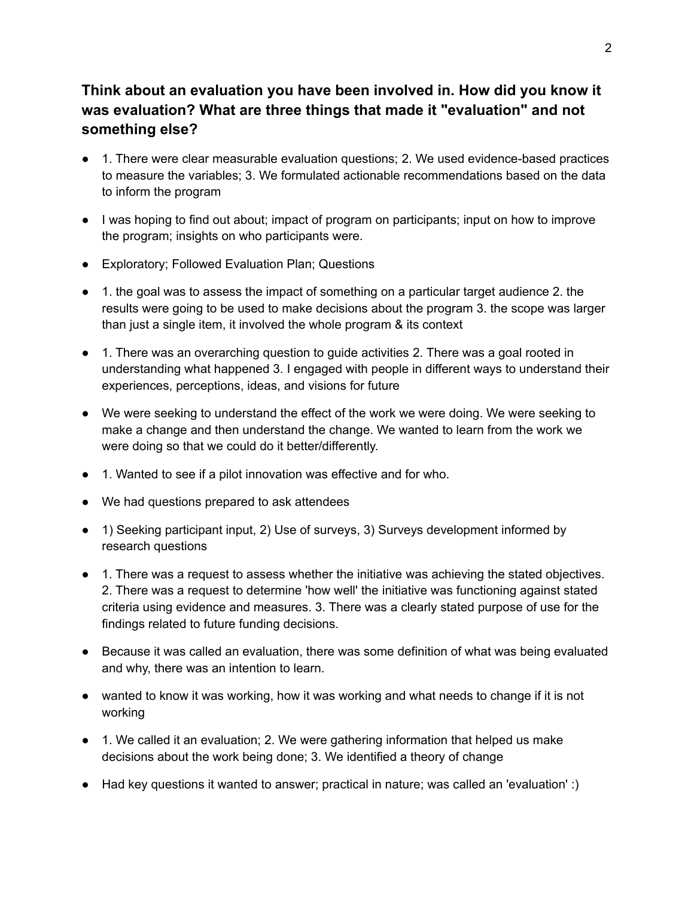## **Think about an evaluation you have been involved in. How did you know it was evaluation? What are three things that made it "evaluation" and not something else?**

- 1. There were clear measurable evaluation questions; 2. We used evidence-based practices to measure the variables; 3. We formulated actionable recommendations based on the data to inform the program
- I was hoping to find out about; impact of program on participants; input on how to improve the program; insights on who participants were.
- Exploratory; Followed Evaluation Plan; Questions
- 1. the goal was to assess the impact of something on a particular target audience 2. the results were going to be used to make decisions about the program 3. the scope was larger than just a single item, it involved the whole program & its context
- 1. There was an overarching question to guide activities 2. There was a goal rooted in understanding what happened 3. I engaged with people in different ways to understand their experiences, perceptions, ideas, and visions for future
- We were seeking to understand the effect of the work we were doing. We were seeking to make a change and then understand the change. We wanted to learn from the work we were doing so that we could do it better/differently.
- 1. Wanted to see if a pilot innovation was effective and for who.
- We had questions prepared to ask attendees
- 1) Seeking participant input, 2) Use of surveys, 3) Surveys development informed by research questions
- 1. There was a request to assess whether the initiative was achieving the stated objectives. 2. There was a request to determine 'how well' the initiative was functioning against stated criteria using evidence and measures. 3. There was a clearly stated purpose of use for the findings related to future funding decisions.
- Because it was called an evaluation, there was some definition of what was being evaluated and why, there was an intention to learn.
- wanted to know it was working, how it was working and what needs to change if it is not working
- 1. We called it an evaluation; 2. We were gathering information that helped us make decisions about the work being done; 3. We identified a theory of change
- Had key questions it wanted to answer; practical in nature; was called an 'evaluation' :)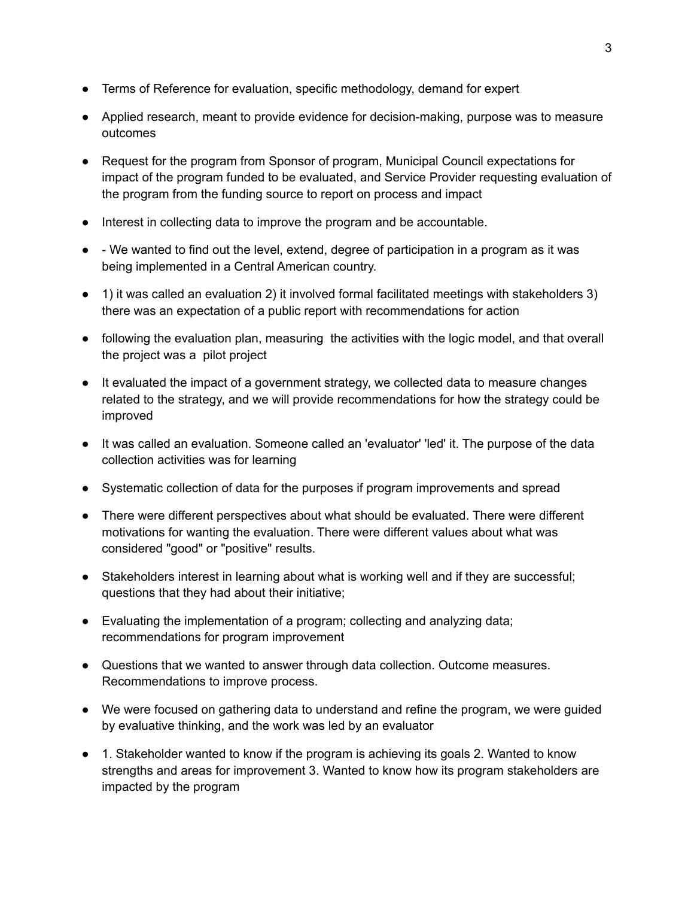- Terms of Reference for evaluation, specific methodology, demand for expert
- Applied research, meant to provide evidence for decision-making, purpose was to measure outcomes
- Request for the program from Sponsor of program, Municipal Council expectations for impact of the program funded to be evaluated, and Service Provider requesting evaluation of the program from the funding source to report on process and impact
- Interest in collecting data to improve the program and be accountable.
- - We wanted to find out the level, extend, degree of participation in a program as it was being implemented in a Central American country.
- 1) it was called an evaluation 2) it involved formal facilitated meetings with stakeholders 3) there was an expectation of a public report with recommendations for action
- following the evaluation plan, measuring the activities with the logic model, and that overall the project was a pilot project
- It evaluated the impact of a government strategy, we collected data to measure changes related to the strategy, and we will provide recommendations for how the strategy could be improved
- It was called an evaluation. Someone called an 'evaluator' 'led' it. The purpose of the data collection activities was for learning
- Systematic collection of data for the purposes if program improvements and spread
- There were different perspectives about what should be evaluated. There were different motivations for wanting the evaluation. There were different values about what was considered "good" or "positive" results.
- Stakeholders interest in learning about what is working well and if they are successful; questions that they had about their initiative;
- Evaluating the implementation of a program; collecting and analyzing data; recommendations for program improvement
- Questions that we wanted to answer through data collection. Outcome measures. Recommendations to improve process.
- We were focused on gathering data to understand and refine the program, we were guided by evaluative thinking, and the work was led by an evaluator
- 1. Stakeholder wanted to know if the program is achieving its goals 2. Wanted to know strengths and areas for improvement 3. Wanted to know how its program stakeholders are impacted by the program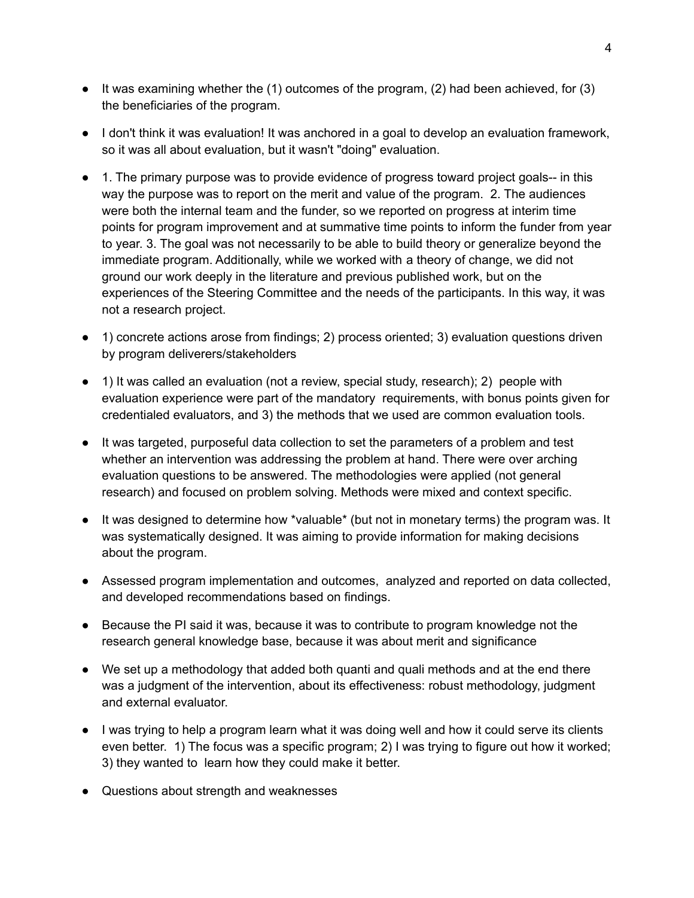- $\bullet$  It was examining whether the (1) outcomes of the program, (2) had been achieved, for (3) the beneficiaries of the program.
- I don't think it was evaluation! It was anchored in a goal to develop an evaluation framework, so it was all about evaluation, but it wasn't "doing" evaluation.
- 1. The primary purpose was to provide evidence of progress toward project goals-- in this way the purpose was to report on the merit and value of the program. 2. The audiences were both the internal team and the funder, so we reported on progress at interim time points for program improvement and at summative time points to inform the funder from year to year. 3. The goal was not necessarily to be able to build theory or generalize beyond the immediate program. Additionally, while we worked with a theory of change, we did not ground our work deeply in the literature and previous published work, but on the experiences of the Steering Committee and the needs of the participants. In this way, it was not a research project.
- 1) concrete actions arose from findings; 2) process oriented; 3) evaluation questions driven by program deliverers/stakeholders
- 1) It was called an evaluation (not a review, special study, research); 2) people with evaluation experience were part of the mandatory requirements, with bonus points given for credentialed evaluators, and 3) the methods that we used are common evaluation tools.
- It was targeted, purposeful data collection to set the parameters of a problem and test whether an intervention was addressing the problem at hand. There were over arching evaluation questions to be answered. The methodologies were applied (not general research) and focused on problem solving. Methods were mixed and context specific.
- It was designed to determine how \*valuable\* (but not in monetary terms) the program was. It was systematically designed. It was aiming to provide information for making decisions about the program.
- Assessed program implementation and outcomes, analyzed and reported on data collected, and developed recommendations based on findings.
- Because the PI said it was, because it was to contribute to program knowledge not the research general knowledge base, because it was about merit and significance
- We set up a methodology that added both quanti and quali methods and at the end there was a judgment of the intervention, about its effectiveness: robust methodology, judgment and external evaluator.
- I was trying to help a program learn what it was doing well and how it could serve its clients even better. 1) The focus was a specific program; 2) I was trying to figure out how it worked; 3) they wanted to learn how they could make it better.
- Questions about strength and weaknesses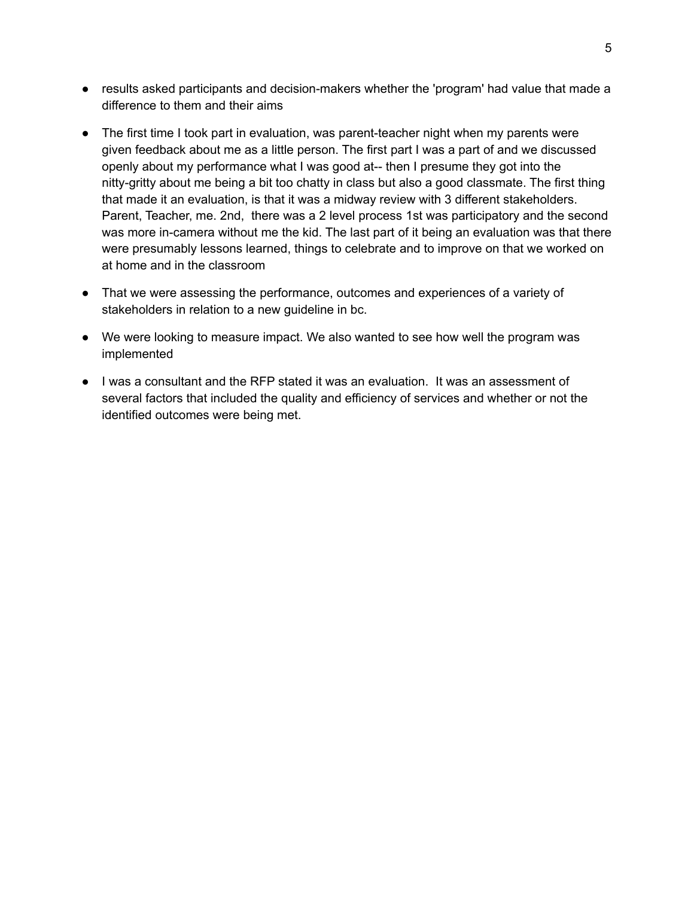- results asked participants and decision-makers whether the 'program' had value that made a difference to them and their aims
- The first time I took part in evaluation, was parent-teacher night when my parents were given feedback about me as a little person. The first part I was a part of and we discussed openly about my performance what I was good at-- then I presume they got into the nitty-gritty about me being a bit too chatty in class but also a good classmate. The first thing that made it an evaluation, is that it was a midway review with 3 different stakeholders. Parent, Teacher, me. 2nd, there was a 2 level process 1st was participatory and the second was more in-camera without me the kid. The last part of it being an evaluation was that there were presumably lessons learned, things to celebrate and to improve on that we worked on at home and in the classroom
- That we were assessing the performance, outcomes and experiences of a variety of stakeholders in relation to a new guideline in bc.
- We were looking to measure impact. We also wanted to see how well the program was implemented
- I was a consultant and the RFP stated it was an evaluation. It was an assessment of several factors that included the quality and efficiency of services and whether or not the identified outcomes were being met.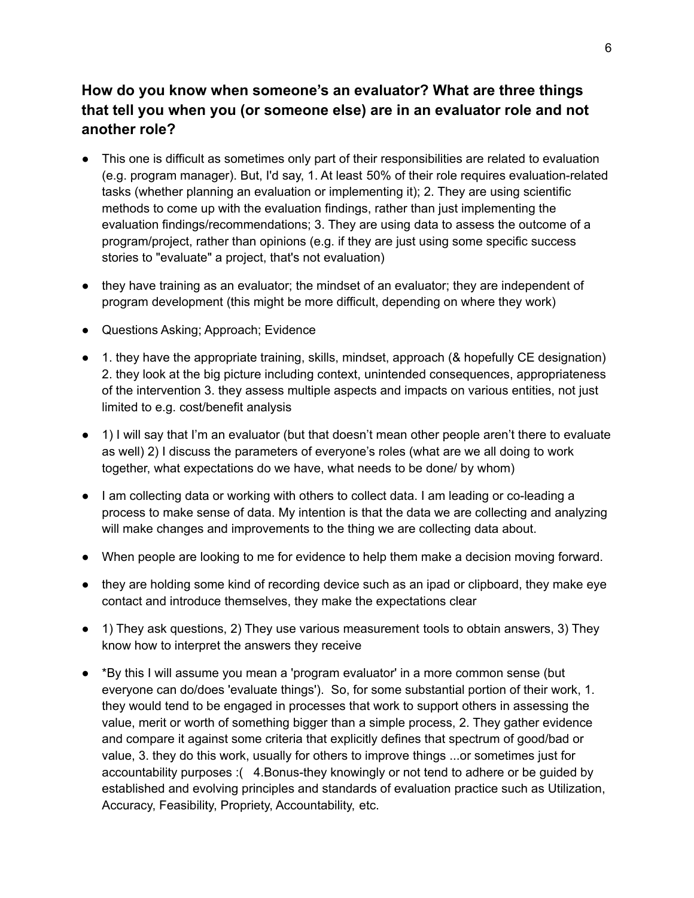## **How do you know when someone's an evaluator? What are three things that tell you when you (or someone else) are in an evaluator role and not another role?**

- <span id="page-5-0"></span>● This one is difficult as sometimes only part of their responsibilities are related to evaluation (e.g. program manager). But, I'd say, 1. At least 50% of their role requires evaluation-related tasks (whether planning an evaluation or implementing it); 2. They are using scientific methods to come up with the evaluation findings, rather than just implementing the evaluation findings/recommendations; 3. They are using data to assess the outcome of a program/project, rather than opinions (e.g. if they are just using some specific success stories to "evaluate" a project, that's not evaluation)
- they have training as an evaluator; the mindset of an evaluator; they are independent of program development (this might be more difficult, depending on where they work)
- Questions Asking; Approach; Evidence
- 1. they have the appropriate training, skills, mindset, approach (& hopefully CE designation) 2. they look at the big picture including context, unintended consequences, appropriateness of the intervention 3. they assess multiple aspects and impacts on various entities, not just limited to e.g. cost/benefit analysis
- 1) I will say that I'm an evaluator (but that doesn't mean other people aren't there to evaluate as well) 2) I discuss the parameters of everyone's roles (what are we all doing to work together, what expectations do we have, what needs to be done/ by whom)
- I am collecting data or working with others to collect data. I am leading or co-leading a process to make sense of data. My intention is that the data we are collecting and analyzing will make changes and improvements to the thing we are collecting data about.
- When people are looking to me for evidence to help them make a decision moving forward.
- they are holding some kind of recording device such as an ipad or clipboard, they make eye contact and introduce themselves, they make the expectations clear
- 1) They ask questions, 2) They use various measurement tools to obtain answers, 3) They know how to interpret the answers they receive
- \*By this I will assume you mean a 'program evaluator' in a more common sense (but everyone can do/does 'evaluate things'). So, for some substantial portion of their work, 1. they would tend to be engaged in processes that work to support others in assessing the value, merit or worth of something bigger than a simple process, 2. They gather evidence and compare it against some criteria that explicitly defines that spectrum of good/bad or value, 3. they do this work, usually for others to improve things ...or sometimes just for accountability purposes :( 4.Bonus-they knowingly or not tend to adhere or be guided by established and evolving principles and standards of evaluation practice such as Utilization, Accuracy, Feasibility, Propriety, Accountability, etc.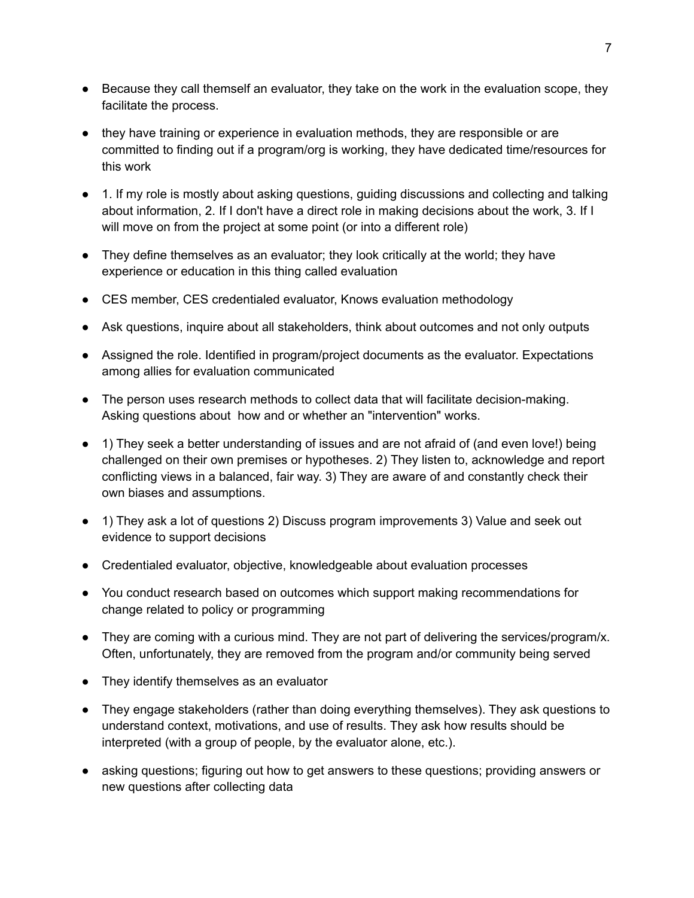- Because they call themself an evaluator, they take on the work in the evaluation scope, they facilitate the process.
- they have training or experience in evaluation methods, they are responsible or are committed to finding out if a program/org is working, they have dedicated time/resources for this work
- 1. If my role is mostly about asking questions, quiding discussions and collecting and talking about information, 2. If I don't have a direct role in making decisions about the work, 3. If I will move on from the project at some point (or into a different role)
- They define themselves as an evaluator; they look critically at the world; they have experience or education in this thing called evaluation
- CES member, CES credentialed evaluator, Knows evaluation methodology
- Ask questions, inquire about all stakeholders, think about outcomes and not only outputs
- Assigned the role. Identified in program/project documents as the evaluator. Expectations among allies for evaluation communicated
- The person uses research methods to collect data that will facilitate decision-making. Asking questions about how and or whether an "intervention" works.
- 1) They seek a better understanding of issues and are not afraid of (and even love!) being challenged on their own premises or hypotheses. 2) They listen to, acknowledge and report conflicting views in a balanced, fair way. 3) They are aware of and constantly check their own biases and assumptions.
- 1) They ask a lot of questions 2) Discuss program improvements 3) Value and seek out evidence to support decisions
- Credentialed evaluator, objective, knowledgeable about evaluation processes
- You conduct research based on outcomes which support making recommendations for change related to policy or programming
- They are coming with a curious mind. They are not part of delivering the services/program/x. Often, unfortunately, they are removed from the program and/or community being served
- They identify themselves as an evaluator
- They engage stakeholders (rather than doing everything themselves). They ask questions to understand context, motivations, and use of results. They ask how results should be interpreted (with a group of people, by the evaluator alone, etc.).
- asking questions; figuring out how to get answers to these questions; providing answers or new questions after collecting data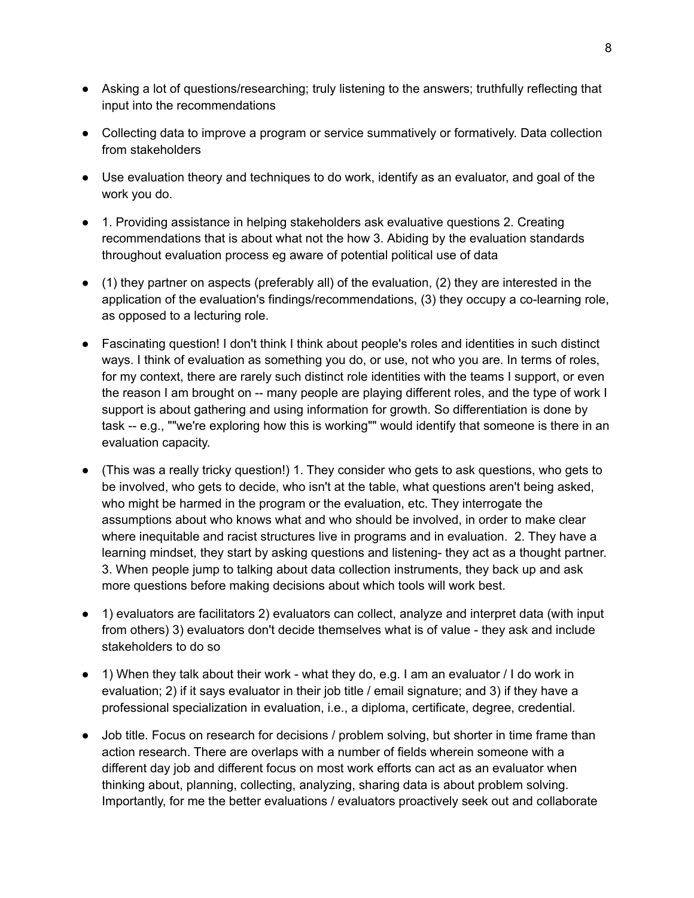- Asking a lot of questions/researching; truly listening to the answers; truthfully reflecting that input into the recommendations
- Collecting data to improve a program or service summatively or formatively. Data collection from stakeholders
- Use evaluation theory and techniques to do work, identify as an evaluator, and goal of the work you do.
- 1. Providing assistance in helping stakeholders ask evaluative questions 2. Creating recommendations that is about what not the how 3. Abiding by the evaluation standards throughout evaluation process eg aware of potential political use of data
- (1) they partner on aspects (preferably all) of the evaluation, (2) they are interested in the application of the evaluation's findings/recommendations, (3) they occupy a co-learning role, as opposed to a lecturing role.
- Fascinating question! I don't think I think about people's roles and identities in such distinct ways. I think of evaluation as something you do, or use, not who you are. In terms of roles, for my context, there are rarely such distinct role identities with the teams I support, or even the reason I am brought on -- many people are playing different roles, and the type of work I support is about gathering and using information for growth. So differentiation is done by task -- e.g., ""we're exploring how this is working"" would identify that someone is there in an evaluation capacity.
- (This was a really tricky question!) 1. They consider who gets to ask questions, who gets to be involved, who gets to decide, who isn't at the table, what questions aren't being asked, who might be harmed in the program or the evaluation, etc. They interrogate the assumptions about who knows what and who should be involved, in order to make clear where inequitable and racist structures live in programs and in evaluation. 2. They have a learning mindset, they start by asking questions and listening- they act as a thought partner. 3. When people jump to talking about data collection instruments, they back up and ask more questions before making decisions about which tools will work best.
- 1) evaluators are facilitators 2) evaluators can collect, analyze and interpret data (with input from others) 3) evaluators don't decide themselves what is of value - they ask and include stakeholders to do so
- 1) When they talk about their work what they do, e.g. I am an evaluator / I do work in evaluation; 2) if it says evaluator in their job title / email signature; and 3) if they have a professional specialization in evaluation, i.e., a diploma, certificate, degree, credential.
- Job title. Focus on research for decisions / problem solving, but shorter in time frame than action research. There are overlaps with a number of fields wherein someone with a different day job and different focus on most work efforts can act as an evaluator when thinking about, planning, collecting, analyzing, sharing data is about problem solving. Importantly, for me the better evaluations / evaluators proactively seek out and collaborate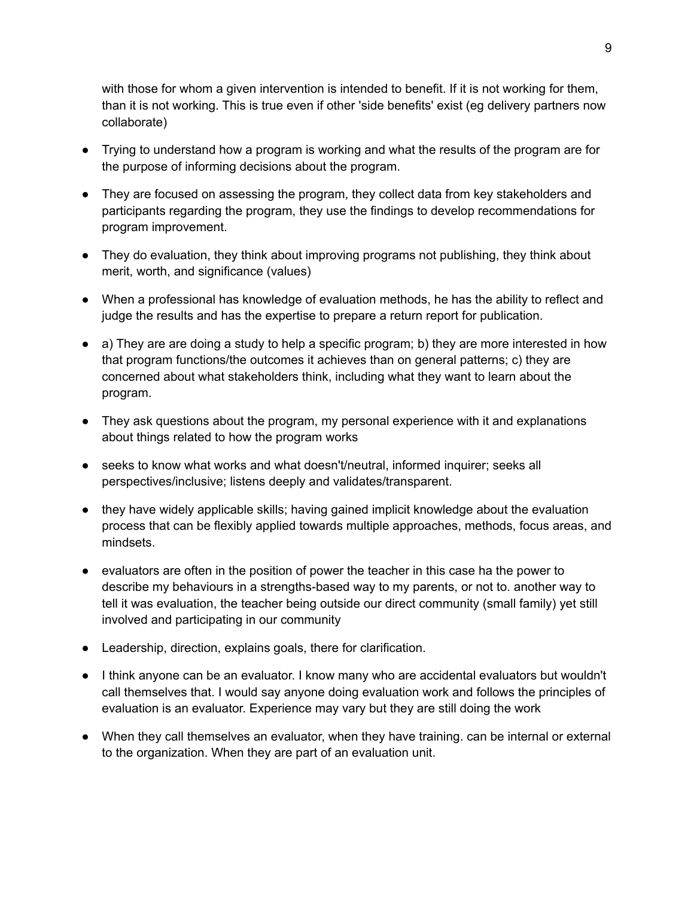with those for whom a given intervention is intended to benefit. If it is not working for them, than it is not working. This is true even if other 'side benefits' exist (eg delivery partners now collaborate)

- Trying to understand how a program is working and what the results of the program are for the purpose of informing decisions about the program.
- They are focused on assessing the program, they collect data from key stakeholders and participants regarding the program, they use the findings to develop recommendations for program improvement.
- They do evaluation, they think about improving programs not publishing, they think about merit, worth, and significance (values)
- When a professional has knowledge of evaluation methods, he has the ability to reflect and judge the results and has the expertise to prepare a return report for publication.
- $\bullet$  a) They are are doing a study to help a specific program; b) they are more interested in how that program functions/the outcomes it achieves than on general patterns; c) they are concerned about what stakeholders think, including what they want to learn about the program.
- They ask questions about the program, my personal experience with it and explanations about things related to how the program works
- seeks to know what works and what doesn't/neutral, informed inquirer; seeks all perspectives/inclusive; listens deeply and validates/transparent.
- they have widely applicable skills; having gained implicit knowledge about the evaluation process that can be flexibly applied towards multiple approaches, methods, focus areas, and mindsets.
- evaluators are often in the position of power the teacher in this case ha the power to describe my behaviours in a strengths-based way to my parents, or not to. another way to tell it was evaluation, the teacher being outside our direct community (small family) yet still involved and participating in our community
- Leadership, direction, explains goals, there for clarification.
- I think anyone can be an evaluator. I know many who are accidental evaluators but wouldn't call themselves that. I would say anyone doing evaluation work and follows the principles of evaluation is an evaluator. Experience may vary but they are still doing the work
- When they call themselves an evaluator, when they have training. can be internal or external to the organization. When they are part of an evaluation unit.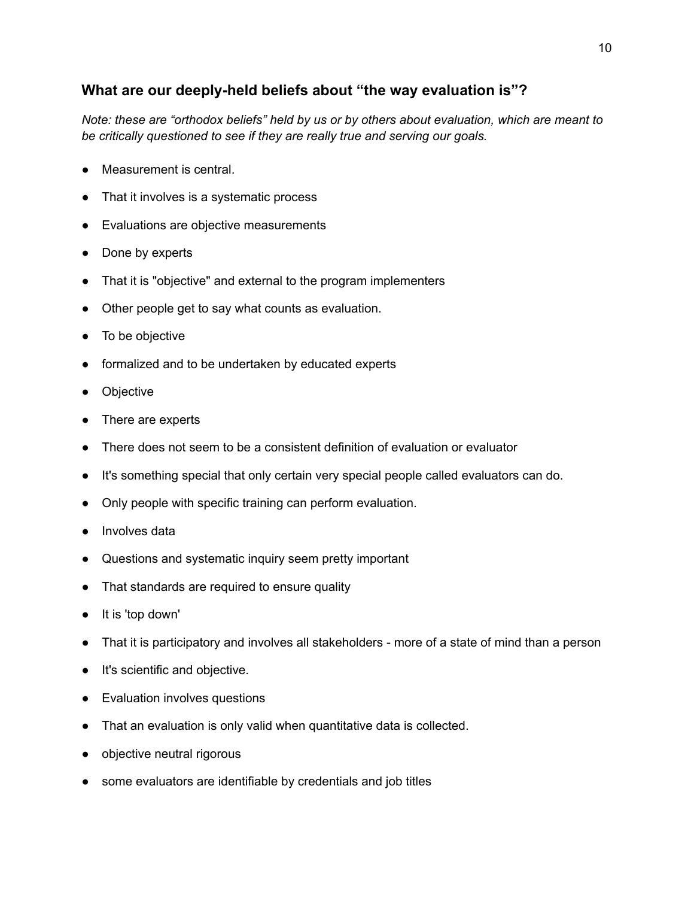## <span id="page-9-0"></span>**What are our deeply-held beliefs about "the way evaluation is"?**

*Note: these are "orthodox beliefs" held by us or by others about evaluation, which are meant to be critically questioned to see if they are really true and serving our goals.*

- Measurement is central.
- That it involves is a systematic process
- Evaluations are objective measurements
- Done by experts
- That it is "objective" and external to the program implementers
- Other people get to say what counts as evaluation.
- To be objective
- formalized and to be undertaken by educated experts
- Objective
- There are experts
- There does not seem to be a consistent definition of evaluation or evaluator
- It's something special that only certain very special people called evaluators can do.
- Only people with specific training can perform evaluation.
- Involves data
- Questions and systematic inquiry seem pretty important
- That standards are required to ensure quality
- It is 'top down'
- That it is participatory and involves all stakeholders more of a state of mind than a person
- It's scientific and objective.
- Evaluation involves questions
- That an evaluation is only valid when quantitative data is collected.
- objective neutral rigorous
- some evaluators are identifiable by credentials and job titles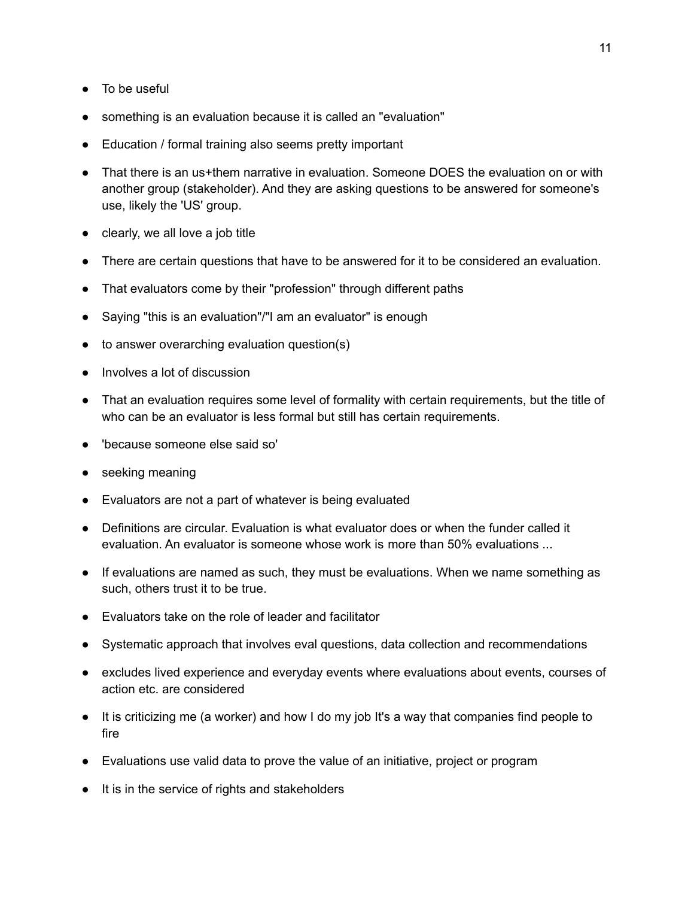- To be useful
- something is an evaluation because it is called an "evaluation"
- Education / formal training also seems pretty important
- That there is an us+them narrative in evaluation. Someone DOES the evaluation on or with another group (stakeholder). And they are asking questions to be answered for someone's use, likely the 'US' group.
- clearly, we all love a job title
- There are certain questions that have to be answered for it to be considered an evaluation.
- That evaluators come by their "profession" through different paths
- Saying "this is an evaluation"/"I am an evaluator" is enough
- to answer overarching evaluation question(s)
- Involves a lot of discussion
- That an evaluation requires some level of formality with certain requirements, but the title of who can be an evaluator is less formal but still has certain requirements.
- 'because someone else said so'
- seeking meaning
- Evaluators are not a part of whatever is being evaluated
- Definitions are circular. Evaluation is what evaluator does or when the funder called it evaluation. An evaluator is someone whose work is more than 50% evaluations ...
- If evaluations are named as such, they must be evaluations. When we name something as such, others trust it to be true.
- Evaluators take on the role of leader and facilitator
- Systematic approach that involves eval questions, data collection and recommendations
- excludes lived experience and everyday events where evaluations about events, courses of action etc. are considered
- It is criticizing me (a worker) and how I do my job It's a way that companies find people to fire
- Evaluations use valid data to prove the value of an initiative, project or program
- It is in the service of rights and stakeholders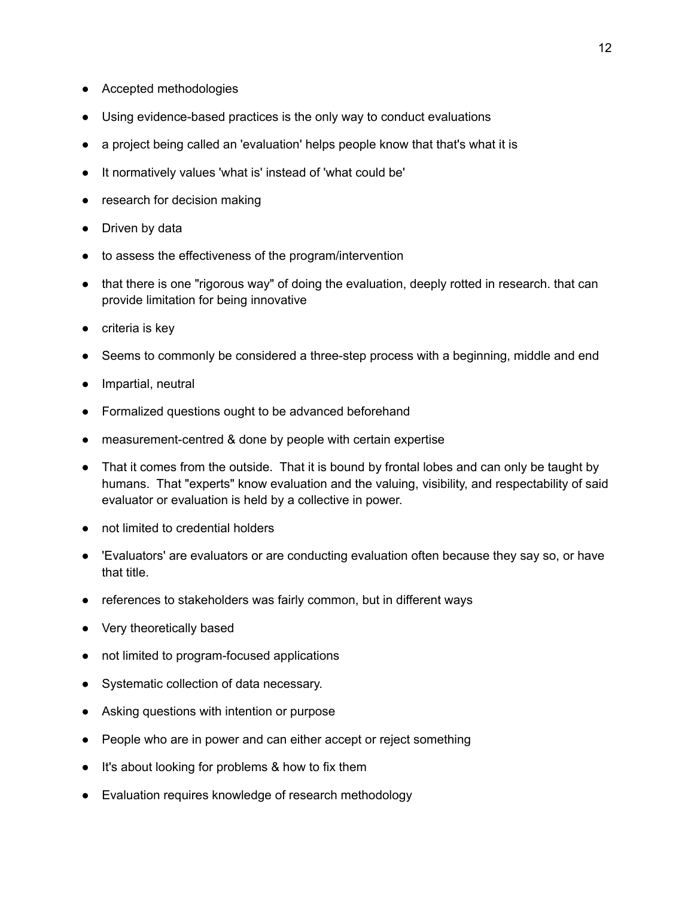- Accepted methodologies
- Using evidence-based practices is the only way to conduct evaluations
- a project being called an 'evaluation' helps people know that that's what it is
- It normatively values 'what is' instead of 'what could be'
- research for decision making
- Driven by data
- to assess the effectiveness of the program/intervention
- that there is one "rigorous way" of doing the evaluation, deeply rotted in research. that can provide limitation for being innovative
- criteria is key
- Seems to commonly be considered a three-step process with a beginning, middle and end
- Impartial, neutral
- Formalized questions ought to be advanced beforehand
- measurement-centred & done by people with certain expertise
- That it comes from the outside. That it is bound by frontal lobes and can only be taught by humans. That "experts" know evaluation and the valuing, visibility, and respectability of said evaluator or evaluation is held by a collective in power.
- not limited to credential holders
- 'Evaluators' are evaluators or are conducting evaluation often because they say so, or have that title.
- references to stakeholders was fairly common, but in different ways
- Very theoretically based
- not limited to program-focused applications
- Systematic collection of data necessary.
- Asking questions with intention or purpose
- People who are in power and can either accept or reject something
- It's about looking for problems & how to fix them
- Evaluation requires knowledge of research methodology